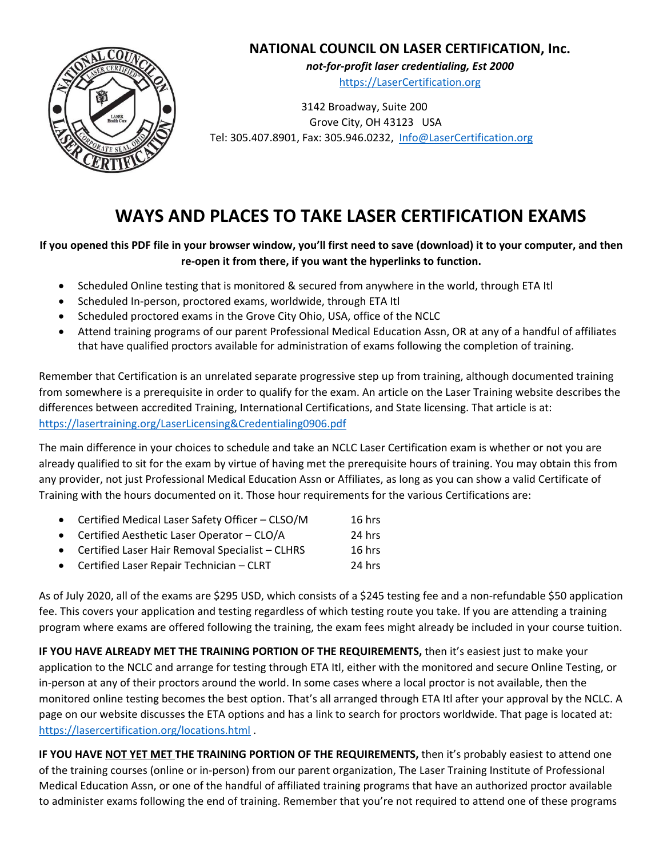# **NATIONAL COUNCIL ON LASER CERTIFICATION, Inc.**



*not‐for‐profit laser credentialing, Est 2000* https://LaserCertification.org

 3142 Broadway, Suite 200 Grove City, OH 43123 USA Tel: 305.407.8901, Fax: 305.946.0232, Info@LaserCertification.org

# **WAYS AND PLACES TO TAKE LASER CERTIFICATION EXAMS**

## **If you opened this PDF file in your browser window, you'll first need to save (download) it to your computer, and then re‐open it from there, if you want the hyperlinks to function.**

- Scheduled Online testing that is monitored & secured from anywhere in the world, through ETA Itl
- Scheduled In-person, proctored exams, worldwide, through ETA Itl
- Scheduled proctored exams in the Grove City Ohio, USA, office of the NCLC
- Attend training programs of our parent Professional Medical Education Assn, OR at any of a handful of affiliates that have qualified proctors available for administration of exams following the completion of training.

Remember that Certification is an unrelated separate progressive step up from training, although documented training from somewhere is a prerequisite in order to qualify for the exam. An article on the Laser Training website describes the differences between accredited Training, International Certifications, and State licensing. That article is at: https://lasertraining.org/LaserLicensing&Credentialing0906.pdf

The main difference in your choices to schedule and take an NCLC Laser Certification exam is whether or not you are already qualified to sit for the exam by virtue of having met the prerequisite hours of training. You may obtain this from any provider, not just Professional Medical Education Assn or Affiliates, as long as you can show a valid Certificate of Training with the hours documented on it. Those hour requirements for the various Certifications are:

- Certified Medical Laser Safety Officer CLSO/M 16 hrs
- Certified Aesthetic Laser Operator CLO/A 24 hrs
- Certified Laser Hair Removal Specialist CLHRS 16 hrs
- Certified Laser Repair Technician CLRT 24 hrs

As of July 2020, all of the exams are \$295 USD, which consists of a \$245 testing fee and a non‐refundable \$50 application fee. This covers your application and testing regardless of which testing route you take. If you are attending a training program where exams are offered following the training, the exam fees might already be included in your course tuition.

**IF YOU HAVE ALREADY MET THE TRAINING PORTION OF THE REQUIREMENTS,** then it's easiest just to make your application to the NCLC and arrange for testing through ETA Itl, either with the monitored and secure Online Testing, or in-person at any of their proctors around the world. In some cases where a local proctor is not available, then the monitored online testing becomes the best option. That's all arranged through ETA Itl after your approval by the NCLC. A page on our website discusses the ETA options and has a link to search for proctors worldwide. That page is located at: https://lasercertification.org/locations.html .

**IF YOU HAVE NOT YET MET THE TRAINING PORTION OF THE REQUIREMENTS,** then it's probably easiest to attend one of the training courses (online or in‐person) from our parent organization, The Laser Training Institute of Professional Medical Education Assn, or one of the handful of affiliated training programs that have an authorized proctor available to administer exams following the end of training. Remember that you're not required to attend one of these programs